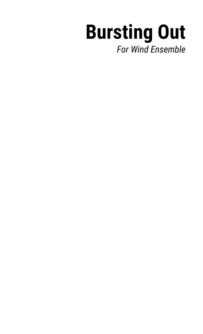# **Bursting Out** *For Wind Ensemble*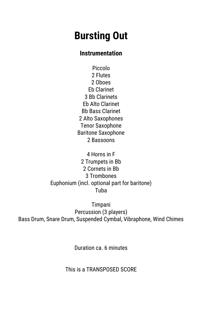## **Bursting Out**

#### **Instrumentation**

Piccolo 2 Flutes 2 Oboes Eb Clarinet 3 Bb Clarinets Eb Alto Clarinet Bb Bass Clarinet 2 Alto Saxophones Tenor Saxophone Baritone Saxophone 2 Bassoons

4 Horns in F 2 Trumpets in Bb 2 Cornets in Bb 3 Trombones Euphonium (incl. optional part for baritone) Tuba

Timpani Percussion (3 players) Bass Drum, Snare Drum, Suspended Cymbal, Vibraphone, Wind Chimes

Duration ca. 6 minutes

This is a TRANSPOSED SCORE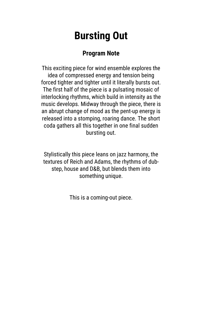## **Bursting Out**

### **Program Note**

This exciting piece for wind ensemble explores the idea of compressed energy and tension being forced tighter and tighter until it literally bursts out. The first half of the piece is a pulsating mosaic of interlocking rhythms, which build in intensity as the music develops. Midway through the piece, there is an abrupt change of mood as the pent-up energy is released into a stomping, roaring dance. The short coda gathers all this together in one final sudden bursting out.

Stylistically this piece leans on jazz harmony, the textures of Reich and Adams, the rhythms of dubstep, house and D&B, but blends them into something unique.

This is a coming-out piece.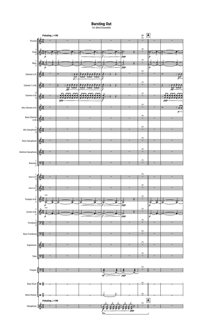#### **Bursting Out** *For Wind Ensemble*

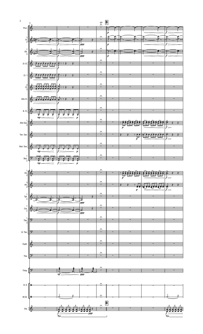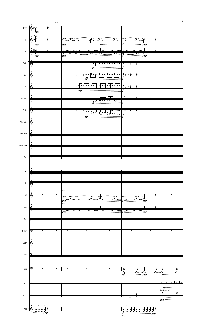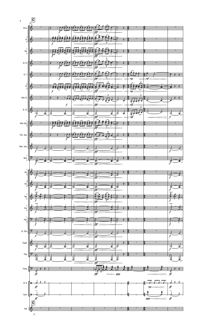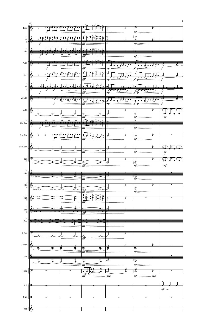

 $\overline{\mathbf{5}}$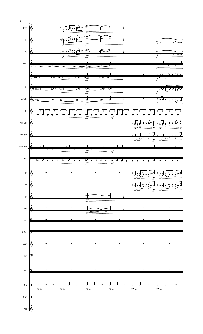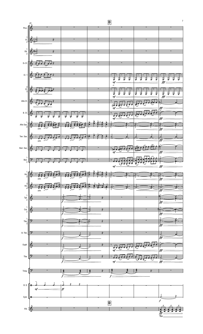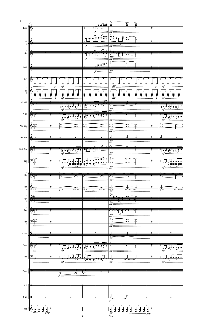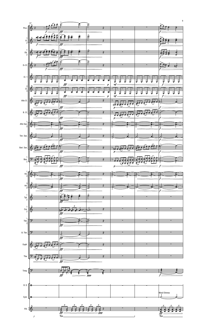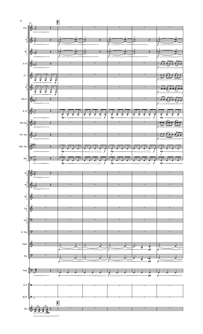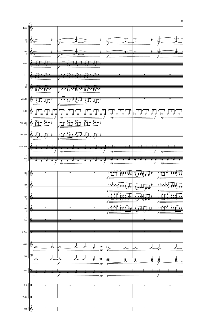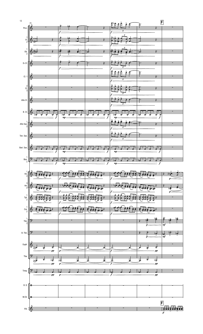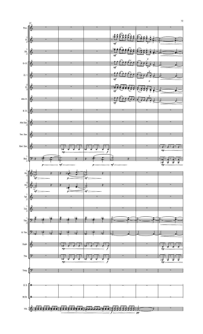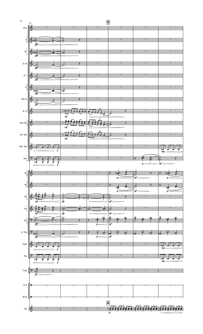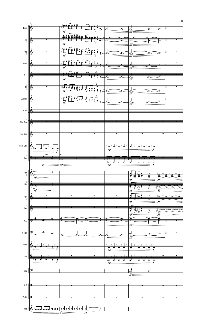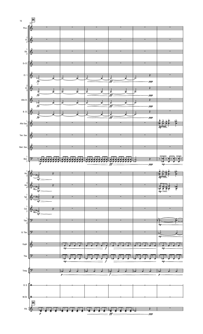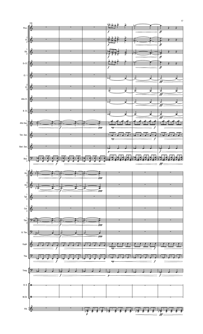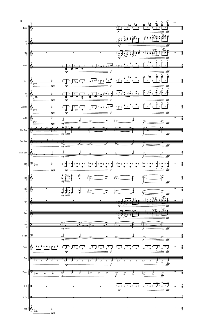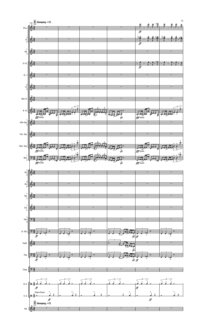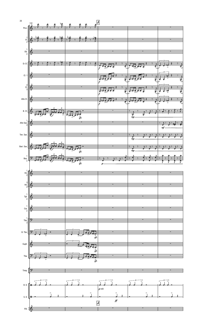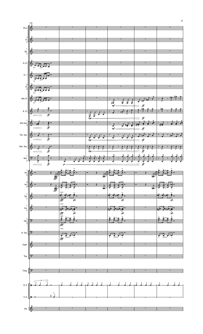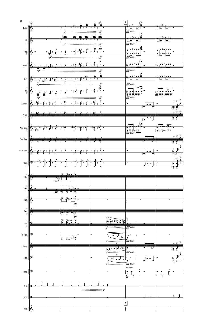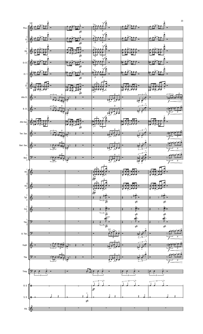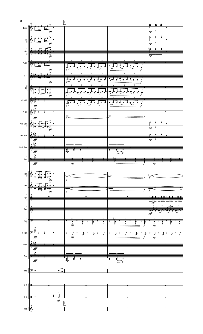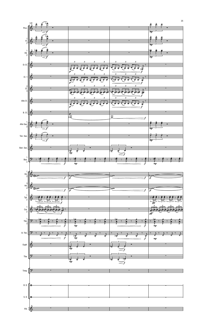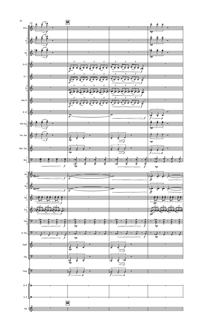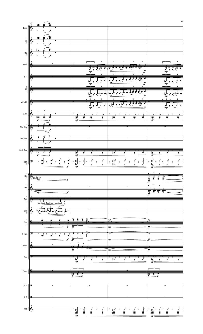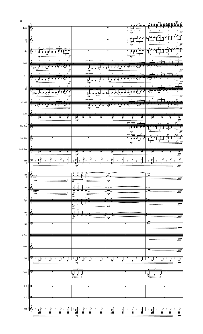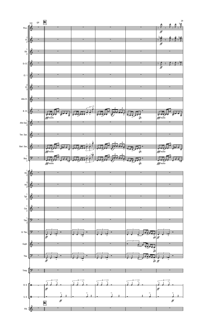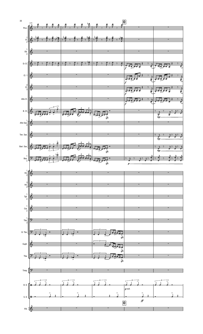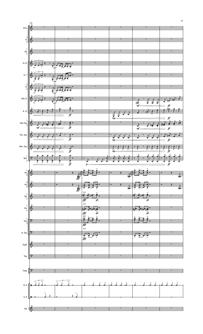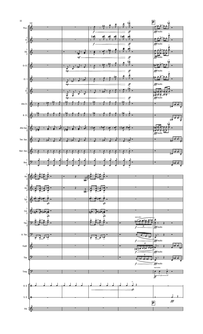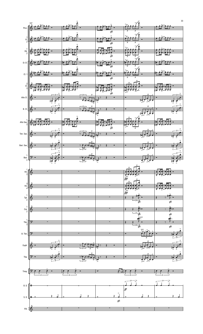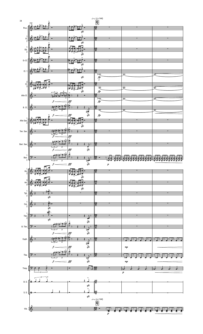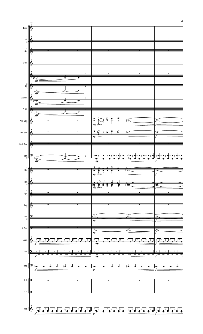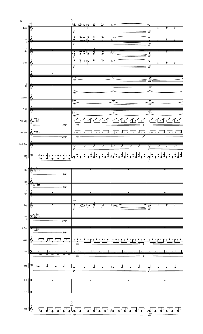![](_page_41_Figure_0.jpeg)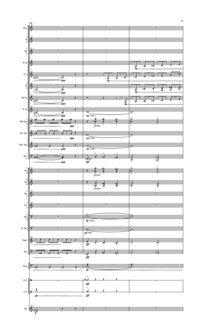![](_page_42_Figure_0.jpeg)